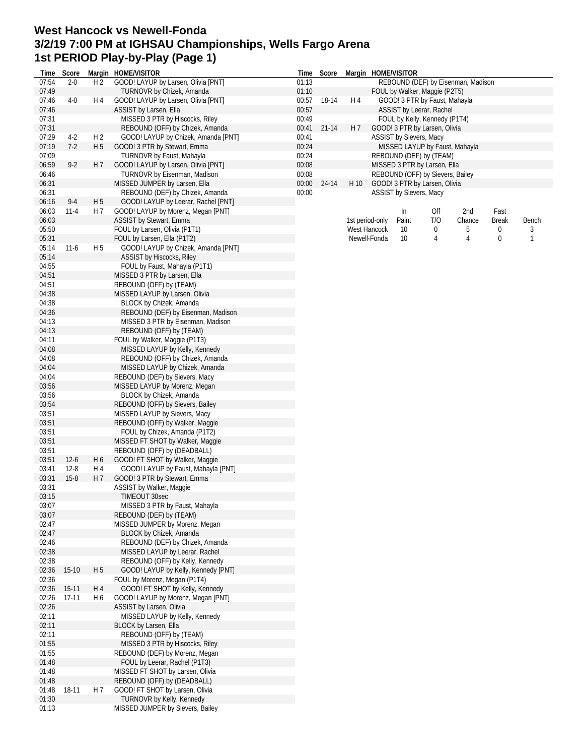## **West Hancock vs Newell-Fonda 3/2/19 7:00 PM at IGHSAU Championships, Wells Fargo Arena 1st PERIOD Play-by-Play (Page 1)**

| Time  | Score     |                | Margin HOME/VISITOR                 |       | Time Score  |                | Margin HOME/VISITOR |                                  |     |                                    |       |       |
|-------|-----------|----------------|-------------------------------------|-------|-------------|----------------|---------------------|----------------------------------|-----|------------------------------------|-------|-------|
| 07:54 | $2 - 0$   | H <sub>2</sub> | GOOD! LAYUP by Larsen, Olivia [PNT] | 01:13 |             |                |                     |                                  |     | REBOUND (DEF) by Eisenman, Madison |       |       |
| 07:49 |           |                | TURNOVR by Chizek, Amanda           | 01:10 |             |                |                     | FOUL by Walker, Maggie (P2T5)    |     |                                    |       |       |
| 07:46 | $4 - 0$   | H 4            | GOOD! LAYUP by Larsen, Olivia [PNT] |       | 00:57 18-14 | H 4            |                     | GOOD! 3 PTR by Faust, Mahayla    |     |                                    |       |       |
| 07:46 |           |                | ASSIST by Larsen, Ella              | 00:57 |             |                |                     | ASSIST by Leerar, Rachel         |     |                                    |       |       |
| 07:31 |           |                | MISSED 3 PTR by Hiscocks, Riley     | 00:49 |             |                |                     | FOUL by Kelly, Kennedy (P1T4)    |     |                                    |       |       |
| 07:31 |           |                | REBOUND (OFF) by Chizek, Amanda     | 00:41 | $21 - 14$   | H <sub>7</sub> |                     | GOOD! 3 PTR by Larsen, Olivia    |     |                                    |       |       |
| 07:29 | $4-2$     | H <sub>2</sub> | GOOD! LAYUP by Chizek, Amanda [PNT] | 00:41 |             |                |                     | ASSIST by Sievers, Macy          |     |                                    |       |       |
| 07:19 | $7-2$     | H 5            | GOOD! 3 PTR by Stewart, Emma        | 00:24 |             |                |                     |                                  |     | MISSED LAYUP by Faust, Mahayla     |       |       |
| 07:09 |           |                | TURNOVR by Faust, Mahayla           | 00:24 |             |                |                     | REBOUND (DEF) by (TEAM)          |     |                                    |       |       |
| 06:59 | $9 - 2$   | H 7            | GOOD! LAYUP by Larsen, Olivia [PNT] | 00:08 |             |                |                     | MISSED 3 PTR by Larsen, Ella     |     |                                    |       |       |
| 06:46 |           |                | TURNOVR by Eisenman, Madison        | 00:08 |             |                |                     | REBOUND (OFF) by Sievers, Bailey |     |                                    |       |       |
| 06:31 |           |                | MISSED JUMPER by Larsen, Ella       | 00:00 | 24-14       | H 10           |                     | GOOD! 3 PTR by Larsen, Olivia    |     |                                    |       |       |
| 06:31 |           |                | REBOUND (DEF) by Chizek, Amanda     | 00:00 |             |                |                     | ASSIST by Sievers, Macy          |     |                                    |       |       |
| 06:16 | $9-4$     | H <sub>5</sub> | GOOD! LAYUP by Leerar, Rachel [PNT] |       |             |                |                     |                                  |     |                                    |       |       |
| 06:03 | $11 - 4$  | H 7            | GOOD! LAYUP by Morenz, Megan [PNT]  |       |             |                |                     | ln                               | Off | 2nd                                | Fast  |       |
| 06:03 |           |                | ASSIST by Stewart, Emma             |       |             |                | 1st period-only     | Paint                            | T/O | Chance                             | Break | Bench |
|       |           |                |                                     |       |             |                |                     |                                  |     |                                    |       |       |
| 05:50 |           |                | FOUL by Larsen, Olivia (P1T1)       |       |             |                | West Hancock        | 10                               | 0   | 5                                  | 0     | 3     |
| 05:31 |           |                | FOUL by Larsen, Ella (P1T2)         |       |             |                | Newell-Fonda        | 10                               | 4   | 4                                  | 0     | 1     |
| 05:14 | $11 - 6$  | H <sub>5</sub> | GOOD! LAYUP by Chizek, Amanda [PNT] |       |             |                |                     |                                  |     |                                    |       |       |
| 05:14 |           |                | <b>ASSIST by Hiscocks, Riley</b>    |       |             |                |                     |                                  |     |                                    |       |       |
| 04:55 |           |                | FOUL by Faust, Mahayla (P1T1)       |       |             |                |                     |                                  |     |                                    |       |       |
| 04:51 |           |                | MISSED 3 PTR by Larsen, Ella        |       |             |                |                     |                                  |     |                                    |       |       |
| 04:51 |           |                | REBOUND (OFF) by (TEAM)             |       |             |                |                     |                                  |     |                                    |       |       |
| 04:38 |           |                | MISSED LAYUP by Larsen, Olivia      |       |             |                |                     |                                  |     |                                    |       |       |
| 04:38 |           |                | BLOCK by Chizek, Amanda             |       |             |                |                     |                                  |     |                                    |       |       |
| 04:36 |           |                | REBOUND (DEF) by Eisenman, Madison  |       |             |                |                     |                                  |     |                                    |       |       |
| 04:13 |           |                | MISSED 3 PTR by Eisenman, Madison   |       |             |                |                     |                                  |     |                                    |       |       |
| 04:13 |           |                | REBOUND (OFF) by (TEAM)             |       |             |                |                     |                                  |     |                                    |       |       |
| 04:11 |           |                | FOUL by Walker, Maggie (P1T3)       |       |             |                |                     |                                  |     |                                    |       |       |
| 04:08 |           |                | MISSED LAYUP by Kelly, Kennedy      |       |             |                |                     |                                  |     |                                    |       |       |
| 04:08 |           |                | REBOUND (OFF) by Chizek, Amanda     |       |             |                |                     |                                  |     |                                    |       |       |
| 04:04 |           |                | MISSED LAYUP by Chizek, Amanda      |       |             |                |                     |                                  |     |                                    |       |       |
| 04:04 |           |                | REBOUND (DEF) by Sievers, Macy      |       |             |                |                     |                                  |     |                                    |       |       |
| 03:56 |           |                | MISSED LAYUP by Morenz, Megan       |       |             |                |                     |                                  |     |                                    |       |       |
| 03:56 |           |                | BLOCK by Chizek, Amanda             |       |             |                |                     |                                  |     |                                    |       |       |
| 03:54 |           |                | REBOUND (OFF) by Sievers, Bailey    |       |             |                |                     |                                  |     |                                    |       |       |
| 03:51 |           |                | MISSED LAYUP by Sievers, Macy       |       |             |                |                     |                                  |     |                                    |       |       |
| 03:51 |           |                | REBOUND (OFF) by Walker, Maggie     |       |             |                |                     |                                  |     |                                    |       |       |
| 03:51 |           |                | FOUL by Chizek, Amanda (P1T2)       |       |             |                |                     |                                  |     |                                    |       |       |
| 03:51 |           |                | MISSED FT SHOT by Walker, Maggie    |       |             |                |                     |                                  |     |                                    |       |       |
|       |           |                |                                     |       |             |                |                     |                                  |     |                                    |       |       |
| 03:51 |           |                | REBOUND (OFF) by (DEADBALL)         |       |             |                |                     |                                  |     |                                    |       |       |
| 03:51 | $12-6$    | H <sub>6</sub> | GOOD! FT SHOT by Walker, Maggie     |       |             |                |                     |                                  |     |                                    |       |       |
| 03:41 | $12-8$    | H 4            | GOOD! LAYUP by Faust, Mahayla [PNT] |       |             |                |                     |                                  |     |                                    |       |       |
| 03:31 | $15-8$    | H 7            | GOOD! 3 PTR by Stewart, Emma        |       |             |                |                     |                                  |     |                                    |       |       |
| 03:31 |           |                | ASSIST by Walker, Maggie            |       |             |                |                     |                                  |     |                                    |       |       |
| 03:15 |           |                | TIMEOUT 30sec                       |       |             |                |                     |                                  |     |                                    |       |       |
| 03:07 |           |                | MISSED 3 PTR by Faust, Mahayla      |       |             |                |                     |                                  |     |                                    |       |       |
| 03:07 |           |                | REBOUND (DEF) by (TEAM)             |       |             |                |                     |                                  |     |                                    |       |       |
| 02:47 |           |                | MISSED JUMPER by Morenz, Megan      |       |             |                |                     |                                  |     |                                    |       |       |
| 02:47 |           |                | BLOCK by Chizek, Amanda             |       |             |                |                     |                                  |     |                                    |       |       |
| 02:46 |           |                | REBOUND (DEF) by Chizek, Amanda     |       |             |                |                     |                                  |     |                                    |       |       |
| 02:38 |           |                | MISSED LAYUP by Leerar, Rachel      |       |             |                |                     |                                  |     |                                    |       |       |
| 02:38 |           |                | REBOUND (OFF) by Kelly, Kennedy     |       |             |                |                     |                                  |     |                                    |       |       |
| 02:36 | $15-10$   | H 5            | GOOD! LAYUP by Kelly, Kennedy [PNT] |       |             |                |                     |                                  |     |                                    |       |       |
| 02:36 |           |                | FOUL by Morenz, Megan (P1T4)        |       |             |                |                     |                                  |     |                                    |       |       |
| 02:36 | 15-11     | H 4            | GOOD! FT SHOT by Kelly, Kennedy     |       |             |                |                     |                                  |     |                                    |       |       |
| 02:26 | $17 - 11$ | H 6            | GOOD! LAYUP by Morenz, Megan [PNT]  |       |             |                |                     |                                  |     |                                    |       |       |
| 02:26 |           |                | ASSIST by Larsen, Olivia            |       |             |                |                     |                                  |     |                                    |       |       |
| 02:11 |           |                | MISSED LAYUP by Kelly, Kennedy      |       |             |                |                     |                                  |     |                                    |       |       |
| 02:11 |           |                | BLOCK by Larsen, Ella               |       |             |                |                     |                                  |     |                                    |       |       |
| 02:11 |           |                | REBOUND (OFF) by (TEAM)             |       |             |                |                     |                                  |     |                                    |       |       |
| 01:55 |           |                | MISSED 3 PTR by Hiscocks, Riley     |       |             |                |                     |                                  |     |                                    |       |       |
| 01:55 |           |                | REBOUND (DEF) by Morenz, Megan      |       |             |                |                     |                                  |     |                                    |       |       |
| 01:48 |           |                | FOUL by Leerar, Rachel (P1T3)       |       |             |                |                     |                                  |     |                                    |       |       |
| 01:48 |           |                | MISSED FT SHOT by Larsen, Olivia    |       |             |                |                     |                                  |     |                                    |       |       |
| 01:48 |           |                | REBOUND (OFF) by (DEADBALL)         |       |             |                |                     |                                  |     |                                    |       |       |
| 01:48 | 18-11     | H 7            | GOOD! FT SHOT by Larsen, Olivia     |       |             |                |                     |                                  |     |                                    |       |       |
| 01:30 |           |                | TURNOVR by Kelly, Kennedy           |       |             |                |                     |                                  |     |                                    |       |       |
| 01:13 |           |                | MISSED JUMPER by Sievers, Bailey    |       |             |                |                     |                                  |     |                                    |       |       |
|       |           |                |                                     |       |             |                |                     |                                  |     |                                    |       |       |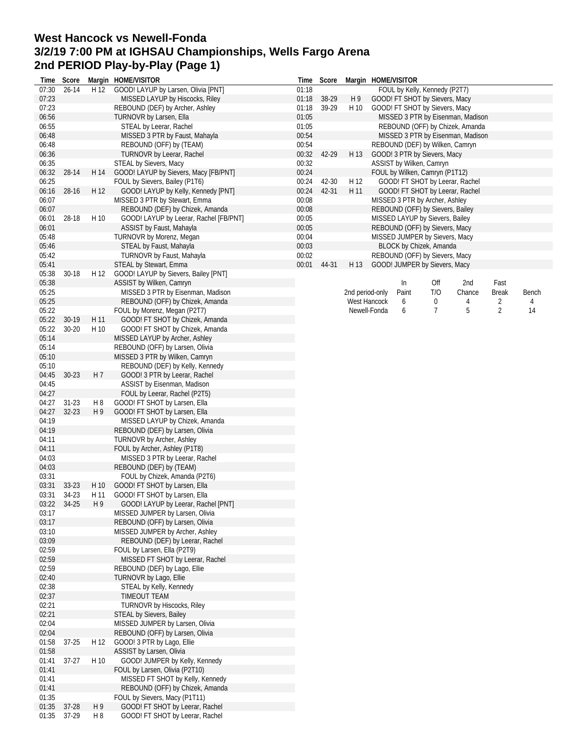## **West Hancock vs Newell-Fonda 3/2/19 7:00 PM at IGHSAU Championships, Wells Fargo Arena 2nd PERIOD Play-by-Play (Page 1)**

| Time           | Score       |                | Margin HOME/VISITOR                                               | Time           | Score |                 |                              | Margin HOME/VISITOR              |                     |                                   |              |         |
|----------------|-------------|----------------|-------------------------------------------------------------------|----------------|-------|-----------------|------------------------------|----------------------------------|---------------------|-----------------------------------|--------------|---------|
| 07:30          | $26 - 14$   | H 12           | GOOD! LAYUP by Larsen, Olivia [PNT]                               | 01:18          |       |                 |                              | FOUL by Kelly, Kennedy (P2T7)    |                     |                                   |              |         |
| 07:23          |             |                | MISSED LAYUP by Hiscocks, Riley                                   | 01:18          | 38-29 | H9              |                              | GOOD! FT SHOT by Sievers, Macy   |                     |                                   |              |         |
| 07:23          |             |                | REBOUND (DEF) by Archer, Ashley                                   | 01:18          | 39-29 | H 10            |                              | GOOD! FT SHOT by Sievers, Macy   |                     |                                   |              |         |
| 06:56          |             |                | TURNOVR by Larsen, Ella                                           | 01:05          |       |                 |                              |                                  |                     | MISSED 3 PTR by Eisenman, Madison |              |         |
| 06:55          |             |                | STEAL by Leerar, Rachel                                           | 01:05          |       |                 |                              |                                  |                     | REBOUND (OFF) by Chizek, Amanda   |              |         |
| 06:48          |             |                | MISSED 3 PTR by Faust, Mahayla                                    | 00:54          |       |                 |                              |                                  |                     | MISSED 3 PTR by Eisenman, Madison |              |         |
| 06:48          |             |                | REBOUND (OFF) by (TEAM)                                           | 00:54          |       |                 |                              | REBOUND (DEF) by Wilken, Camryn  |                     |                                   |              |         |
| 06:36          |             |                | TURNOVR by Leerar, Rachel                                         | 00:32          | 42-29 | H 13            |                              | GOOD! 3 PTR by Sievers, Macy     |                     |                                   |              |         |
| 06:35          |             |                | STEAL by Sievers, Macy                                            | 00:32          |       |                 |                              | ASSIST by Wilken, Camryn         |                     |                                   |              |         |
| 06:32          | 28-14       | H 14           | GOOD! LAYUP by Sievers, Macy [FB/PNT]                             | 00:24          |       |                 |                              | FOUL by Wilken, Camryn (P1T12)   |                     |                                   |              |         |
| 06:25          |             |                | FOUL by Sievers, Bailey (P1T6)                                    | 00:24          | 42-30 | H 12            |                              |                                  |                     | GOOD! FT SHOT by Leerar, Rachel   |              |         |
| 06:16          | 28-16       | H 12           | GOOD! LAYUP by Kelly, Kennedy [PNT]                               | 00:24          | 42-31 | H 11            |                              |                                  |                     | GOOD! FT SHOT by Leerar, Rachel   |              |         |
| 06:07          |             |                | MISSED 3 PTR by Stewart, Emma                                     | 00:08          |       |                 |                              | MISSED 3 PTR by Archer, Ashley   |                     |                                   |              |         |
| 06:07          |             |                | REBOUND (DEF) by Chizek, Amanda                                   | 00:08          |       |                 |                              | REBOUND (OFF) by Sievers, Bailey |                     |                                   |              |         |
| 06:01          | 28-18       | H 10           | GOOD! LAYUP by Leerar, Rachel [FB/PNT]                            | 00:05          |       |                 |                              | MISSED LAYUP by Sievers, Bailey  |                     |                                   |              |         |
| 06:01          |             |                | ASSIST by Faust, Mahayla                                          | 00:05          |       |                 |                              | REBOUND (OFF) by Sievers, Macy   |                     |                                   |              |         |
| 05:48<br>05:46 |             |                | TURNOVR by Morenz, Megan                                          | 00:04<br>00:03 |       |                 |                              | MISSED JUMPER by Sievers, Macy   |                     |                                   |              |         |
| 05:42          |             |                | STEAL by Faust, Mahayla<br>TURNOVR by Faust, Mahayla              | 00:02          |       |                 |                              | BLOCK by Chizek, Amanda          |                     |                                   |              |         |
|                |             |                |                                                                   |                |       |                 |                              | REBOUND (OFF) by Sievers, Macy   |                     |                                   |              |         |
| 05:41          | $30 - 18$   | H 12           | STEAL by Stewart, Emma                                            | 00:01          | 44-31 | H 13            |                              | GOOD! JUMPER by Sievers, Macy    |                     |                                   |              |         |
| 05:38<br>05:38 |             |                | GOOD! LAYUP by Sievers, Bailey [PNT]                              |                |       |                 |                              | In                               |                     | 2nd                               | Fast         |         |
| 05:25          |             |                | ASSIST by Wilken, Camryn<br>MISSED 3 PTR by Eisenman, Madison     |                |       |                 |                              |                                  | Off<br>T/O          |                                   |              |         |
|                |             |                |                                                                   |                |       | 2nd period-only |                              | Paint                            |                     | Chance                            | <b>Break</b> | Bench   |
| 05:25<br>05:22 |             |                | REBOUND (OFF) by Chizek, Amanda                                   |                |       |                 | West Hancock<br>Newell-Fonda | 6                                | 0<br>$\overline{7}$ | 4<br>5                            | 2<br>2       | 4<br>14 |
| 05:22          | 30-19       |                | FOUL by Morenz, Megan (P2T7)                                      |                |       |                 |                              | 6                                |                     |                                   |              |         |
|                |             | H 11           | GOOD! FT SHOT by Chizek, Amanda                                   |                |       |                 |                              |                                  |                     |                                   |              |         |
| 05:22          | $30 - 20$   | H 10           | GOOD! FT SHOT by Chizek, Amanda                                   |                |       |                 |                              |                                  |                     |                                   |              |         |
| 05:14          |             |                | MISSED LAYUP by Archer, Ashley                                    |                |       |                 |                              |                                  |                     |                                   |              |         |
| 05:14<br>05:10 |             |                | REBOUND (OFF) by Larsen, Olivia                                   |                |       |                 |                              |                                  |                     |                                   |              |         |
| 05:10          |             |                | MISSED 3 PTR by Wilken, Camryn<br>REBOUND (DEF) by Kelly, Kennedy |                |       |                 |                              |                                  |                     |                                   |              |         |
| 04:45          | $30-23$     | H 7            | GOOD! 3 PTR by Leerar, Rachel                                     |                |       |                 |                              |                                  |                     |                                   |              |         |
| 04:45          |             |                | ASSIST by Eisenman, Madison                                       |                |       |                 |                              |                                  |                     |                                   |              |         |
| 04:27          |             |                | FOUL by Leerar, Rachel (P2T5)                                     |                |       |                 |                              |                                  |                     |                                   |              |         |
| 04:27          | $31-23$     | H8             | GOOD! FT SHOT by Larsen, Ella                                     |                |       |                 |                              |                                  |                     |                                   |              |         |
| 04:27          | $32 - 23$   | H <sub>9</sub> | GOOD! FT SHOT by Larsen, Ella                                     |                |       |                 |                              |                                  |                     |                                   |              |         |
| 04:19          |             |                | MISSED LAYUP by Chizek, Amanda                                    |                |       |                 |                              |                                  |                     |                                   |              |         |
| 04:19          |             |                | REBOUND (DEF) by Larsen, Olivia                                   |                |       |                 |                              |                                  |                     |                                   |              |         |
| 04:11          |             |                | TURNOVR by Archer, Ashley                                         |                |       |                 |                              |                                  |                     |                                   |              |         |
| 04:11          |             |                | FOUL by Archer, Ashley (P1T8)                                     |                |       |                 |                              |                                  |                     |                                   |              |         |
| 04:03          |             |                | MISSED 3 PTR by Leerar, Rachel                                    |                |       |                 |                              |                                  |                     |                                   |              |         |
| 04:03          |             |                | REBOUND (DEF) by (TEAM)                                           |                |       |                 |                              |                                  |                     |                                   |              |         |
| 03:31          |             |                | FOUL by Chizek, Amanda (P2T6)                                     |                |       |                 |                              |                                  |                     |                                   |              |         |
| 03:31          | $33 - 23$   | H 10           | GOOD! FT SHOT by Larsen, Ella                                     |                |       |                 |                              |                                  |                     |                                   |              |         |
| 03:31          | 34-23       | H 11           | GOOD! FT SHOT by Larsen, Ella                                     |                |       |                 |                              |                                  |                     |                                   |              |         |
|                | 03:22 34-25 | H 9            | GOOD! LAYUP by Leerar, Rachel [PNT]                               |                |       |                 |                              |                                  |                     |                                   |              |         |
| 03:17          |             |                | MISSED JUMPER by Larsen, Olivia                                   |                |       |                 |                              |                                  |                     |                                   |              |         |
| 03:17          |             |                | REBOUND (OFF) by Larsen, Olivia                                   |                |       |                 |                              |                                  |                     |                                   |              |         |
| 03:10          |             |                | MISSED JUMPER by Archer, Ashley                                   |                |       |                 |                              |                                  |                     |                                   |              |         |
| 03:09          |             |                | REBOUND (DEF) by Leerar, Rachel                                   |                |       |                 |                              |                                  |                     |                                   |              |         |
| 02:59          |             |                | FOUL by Larsen, Ella (P2T9)                                       |                |       |                 |                              |                                  |                     |                                   |              |         |
| 02:59          |             |                | MISSED FT SHOT by Leerar, Rachel                                  |                |       |                 |                              |                                  |                     |                                   |              |         |
| 02:59          |             |                | REBOUND (DEF) by Lago, Ellie                                      |                |       |                 |                              |                                  |                     |                                   |              |         |
| 02:40          |             |                | TURNOVR by Lago, Ellie                                            |                |       |                 |                              |                                  |                     |                                   |              |         |
| 02:38          |             |                | STEAL by Kelly, Kennedy                                           |                |       |                 |                              |                                  |                     |                                   |              |         |
| 02:37          |             |                | TIMEOUT TEAM                                                      |                |       |                 |                              |                                  |                     |                                   |              |         |
| 02:21          |             |                | <b>TURNOVR by Hiscocks, Riley</b>                                 |                |       |                 |                              |                                  |                     |                                   |              |         |
| 02:21          |             |                | STEAL by Sievers, Bailey                                          |                |       |                 |                              |                                  |                     |                                   |              |         |
| 02:04          |             |                | MISSED JUMPER by Larsen, Olivia                                   |                |       |                 |                              |                                  |                     |                                   |              |         |
| 02:04          |             |                | REBOUND (OFF) by Larsen, Olivia                                   |                |       |                 |                              |                                  |                     |                                   |              |         |
| 01:58          | $37 - 25$   | H 12           | GOOD! 3 PTR by Lago, Ellie                                        |                |       |                 |                              |                                  |                     |                                   |              |         |
| 01:58          |             |                | ASSIST by Larsen, Olivia                                          |                |       |                 |                              |                                  |                     |                                   |              |         |
| 01:41          | 37-27       | H 10           | GOOD! JUMPER by Kelly, Kennedy                                    |                |       |                 |                              |                                  |                     |                                   |              |         |
| 01:41          |             |                | FOUL by Larsen, Olivia (P2T10)                                    |                |       |                 |                              |                                  |                     |                                   |              |         |
| 01:41          |             |                | MISSED FT SHOT by Kelly, Kennedy                                  |                |       |                 |                              |                                  |                     |                                   |              |         |
| 01:41          |             |                | REBOUND (OFF) by Chizek, Amanda                                   |                |       |                 |                              |                                  |                     |                                   |              |         |
| 01:35          |             |                | FOUL by Sievers, Macy (P1T11)                                     |                |       |                 |                              |                                  |                     |                                   |              |         |
| 01:35          | 37-28       | H 9            | GOOD! FT SHOT by Leerar, Rachel                                   |                |       |                 |                              |                                  |                     |                                   |              |         |
| 01:35          | 37-29       | H8             | GOOD! FT SHOT by Leerar, Rachel                                   |                |       |                 |                              |                                  |                     |                                   |              |         |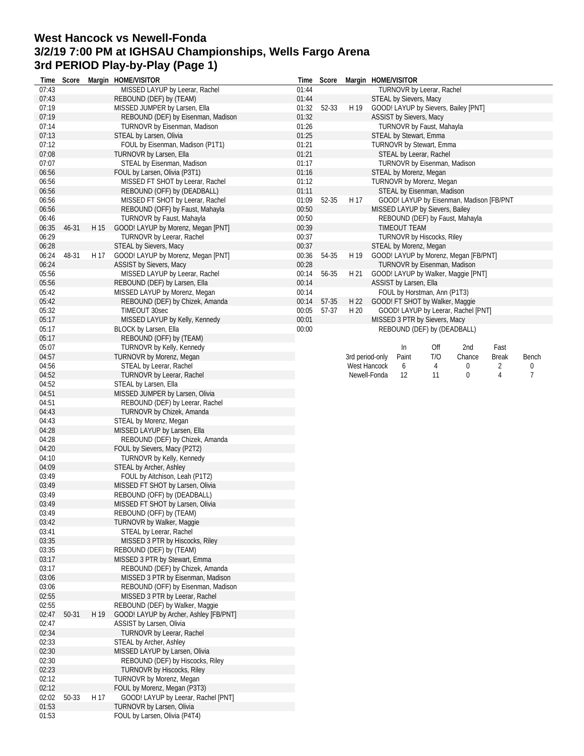## **West Hancock vs Newell-Fonda 3/2/19 7:00 PM at IGHSAU Championships, Wells Fargo Arena 3rd PERIOD Play-by-Play (Page 1)**

| Time           | Score |      | Margin HOME/VISITOR                                        | Time  | Score |      | Margin HOME/VISITOR                                                |  |
|----------------|-------|------|------------------------------------------------------------|-------|-------|------|--------------------------------------------------------------------|--|
| 07:43          |       |      | MISSED LAYUP by Leerar, Rachel                             | 01:44 |       |      | TURNOVR by Leerar, Rachel                                          |  |
| 07:43          |       |      | REBOUND (DEF) by (TEAM)                                    | 01:44 |       |      | STEAL by Sievers, Macy                                             |  |
| 07:19          |       |      | MISSED JUMPER by Larsen, Ella                              | 01:32 | 52-33 | H 19 | GOOD! LAYUP by Sievers, Bailey [PNT]                               |  |
| 07:19          |       |      | REBOUND (DEF) by Eisenman, Madison                         | 01:32 |       |      | ASSIST by Sievers, Macy                                            |  |
| 07:14          |       |      | TURNOVR by Eisenman, Madison                               | 01:26 |       |      | TURNOVR by Faust, Mahayla                                          |  |
| 07:13          |       |      | STEAL by Larsen, Olivia                                    | 01:25 |       |      | STEAL by Stewart, Emma                                             |  |
| 07:12          |       |      | FOUL by Eisenman, Madison (P1T1)                           | 01:21 |       |      | TURNOVR by Stewart, Emma                                           |  |
| 07:08          |       |      | TURNOVR by Larsen, Ella                                    | 01:21 |       |      | STEAL by Leerar, Rachel                                            |  |
| 07:07          |       |      | STEAL by Eisenman, Madison                                 | 01:17 |       |      | TURNOVR by Eisenman, Madison                                       |  |
| 06:56          |       |      | FOUL by Larsen, Olivia (P3T1)                              | 01:16 |       |      | STEAL by Morenz, Megan                                             |  |
| 06:56          |       |      | MISSED FT SHOT by Leerar, Rachel                           | 01:12 |       |      | TURNOVR by Morenz, Megan                                           |  |
| 06:56          |       |      | REBOUND (OFF) by (DEADBALL)                                | 01:11 |       |      | STEAL by Eisenman, Madison                                         |  |
| 06:56          |       |      | MISSED FT SHOT by Leerar, Rachel                           | 01:09 | 52-35 | H 17 | GOOD! LAYUP by Eisenman, Madison [FB/PNT                           |  |
| 06:56          |       |      | REBOUND (OFF) by Faust, Mahayla                            | 00:50 |       |      | MISSED LAYUP by Sievers, Bailey                                    |  |
| 06:46          |       |      | TURNOVR by Faust, Mahayla                                  | 00:50 |       |      | REBOUND (DEF) by Faust, Mahayla                                    |  |
| 06:35          | 46-31 | H 15 | GOOD! LAYUP by Morenz, Megan [PNT]                         | 00:39 |       |      | TIMEOUT TEAM                                                       |  |
| 06:29          |       |      | TURNOVR by Leerar, Rachel                                  | 00:37 |       |      | <b>TURNOVR by Hiscocks, Riley</b>                                  |  |
| 06:28          |       |      | STEAL by Sievers, Macy                                     | 00:37 |       |      | STEAL by Morenz, Megan                                             |  |
| 06:24          | 48-31 | H 17 | GOOD! LAYUP by Morenz, Megan [PNT]                         | 00:36 | 54-35 | H 19 | GOOD! LAYUP by Morenz, Megan [FB/PNT]                              |  |
| 06:24          |       |      | <b>ASSIST by Sievers, Macy</b>                             | 00:28 |       |      | TURNOVR by Eisenman, Madison                                       |  |
| 05:56          |       |      | MISSED LAYUP by Leerar, Rachel                             | 00:14 | 56-35 | H 21 | GOOD! LAYUP by Walker, Maggie [PNT]                                |  |
| 05:56          |       |      | REBOUND (DEF) by Larsen, Ella                              | 00:14 |       |      | ASSIST by Larsen, Ella                                             |  |
| 05:42          |       |      | MISSED LAYUP by Morenz, Megan                              | 00:14 |       |      | FOUL by Horstman, Ann (P1T3)                                       |  |
| 05:42          |       |      | REBOUND (DEF) by Chizek, Amanda                            | 00:14 | 57-35 | H 22 | GOOD! FT SHOT by Walker, Maggie                                    |  |
| 05:32          |       |      | TIMEOUT 30sec                                              | 00:05 | 57-37 | H 20 | GOOD! LAYUP by Leerar, Rachel [PNT]                                |  |
| 05:17          |       |      | MISSED LAYUP by Kelly, Kennedy                             | 00:01 |       |      | MISSED 3 PTR by Sievers, Macy                                      |  |
| 05:17          |       |      | BLOCK by Larsen, Ella                                      | 00:00 |       |      | REBOUND (DEF) by (DEADBALL)                                        |  |
| 05:17          |       |      | REBOUND (OFF) by (TEAM)                                    |       |       |      |                                                                    |  |
| 05:07          |       |      | TURNOVR by Kelly, Kennedy                                  |       |       |      | Fast<br>In<br>Off<br>2nd                                           |  |
| 04:57          |       |      | TURNOVR by Morenz, Megan                                   |       |       |      | T/O<br>3rd period-only<br>Paint<br>Chance<br><b>Break</b><br>Bench |  |
| 04:56          |       |      | STEAL by Leerar, Rachel                                    |       |       |      | West Hancock<br>6<br>4<br>0<br>2<br>0                              |  |
| 04:52          |       |      | TURNOVR by Leerar, Rachel                                  |       |       |      | 4<br>$\overline{7}$<br>Newell-Fonda<br>0<br>12<br>11               |  |
| 04:52          |       |      | STEAL by Larsen, Ella                                      |       |       |      |                                                                    |  |
| 04:51          |       |      | MISSED JUMPER by Larsen, Olivia                            |       |       |      |                                                                    |  |
| 04:51          |       |      | REBOUND (DEF) by Leerar, Rachel                            |       |       |      |                                                                    |  |
| 04:43          |       |      | TURNOVR by Chizek, Amanda                                  |       |       |      |                                                                    |  |
| 04:43          |       |      | STEAL by Morenz, Megan                                     |       |       |      |                                                                    |  |
| 04:28          |       |      | MISSED LAYUP by Larsen, Ella                               |       |       |      |                                                                    |  |
| 04:28          |       |      | REBOUND (DEF) by Chizek, Amanda                            |       |       |      |                                                                    |  |
| 04:20          |       |      | FOUL by Sievers, Macy (P2T2)                               |       |       |      |                                                                    |  |
| 04:10          |       |      | TURNOVR by Kelly, Kennedy                                  |       |       |      |                                                                    |  |
| 04:09          |       |      | STEAL by Archer, Ashley                                    |       |       |      |                                                                    |  |
| 03:49          |       |      | FOUL by Aitchison, Leah (P1T2)                             |       |       |      |                                                                    |  |
| 03:49          |       |      | MISSED FT SHOT by Larsen, Olivia                           |       |       |      |                                                                    |  |
| 03:49          |       |      | REBOUND (OFF) by (DEADBALL)                                |       |       |      |                                                                    |  |
| 03:49          |       |      | MISSED FT SHOT by Larsen, Olivia                           |       |       |      |                                                                    |  |
| 03:49          |       |      | REBOUND (OFF) by (TEAM)                                    |       |       |      |                                                                    |  |
| 03:42          |       |      | TURNOVR by Walker, Maggie                                  |       |       |      |                                                                    |  |
| 03:41          |       |      | STEAL by Leerar, Rachel                                    |       |       |      |                                                                    |  |
| 03:35          |       |      | MISSED 3 PTR by Hiscocks, Riley                            |       |       |      |                                                                    |  |
| 03:35          |       |      |                                                            |       |       |      |                                                                    |  |
| 03:17          |       |      | REBOUND (DEF) by (TEAM)                                    |       |       |      |                                                                    |  |
|                |       |      | MISSED 3 PTR by Stewart, Emma                              |       |       |      |                                                                    |  |
| 03:17          |       |      | REBOUND (DEF) by Chizek, Amanda                            |       |       |      |                                                                    |  |
| 03:06          |       |      | MISSED 3 PTR by Eisenman, Madison                          |       |       |      |                                                                    |  |
| 03:06          |       |      | REBOUND (OFF) by Eisenman, Madison                         |       |       |      |                                                                    |  |
| 02:55          |       |      | MISSED 3 PTR by Leerar, Rachel                             |       |       |      |                                                                    |  |
| 02:55          |       |      | REBOUND (DEF) by Walker, Maggie                            |       |       |      |                                                                    |  |
| 02:47          | 50-31 | H 19 | GOOD! LAYUP by Archer, Ashley [FB/PNT]                     |       |       |      |                                                                    |  |
| 02:47          |       |      | ASSIST by Larsen, Olivia                                   |       |       |      |                                                                    |  |
| 02:34          |       |      | TURNOVR by Leerar, Rachel                                  |       |       |      |                                                                    |  |
| 02:33          |       |      | STEAL by Archer, Ashley                                    |       |       |      |                                                                    |  |
| 02:30          |       |      | MISSED LAYUP by Larsen, Olivia                             |       |       |      |                                                                    |  |
| 02:30          |       |      | REBOUND (DEF) by Hiscocks, Riley                           |       |       |      |                                                                    |  |
| 02:23          |       |      | TURNOVR by Hiscocks, Riley                                 |       |       |      |                                                                    |  |
| 02:12          |       |      | TURNOVR by Morenz, Megan                                   |       |       |      |                                                                    |  |
| 02:12          |       |      | FOUL by Morenz, Megan (P3T3)                               |       |       |      |                                                                    |  |
| 02:02          | 50-33 | H 17 | GOOD! LAYUP by Leerar, Rachel [PNT]                        |       |       |      |                                                                    |  |
| 01:53<br>01:53 |       |      | TURNOVR by Larsen, Olivia<br>FOUL by Larsen, Olivia (P4T4) |       |       |      |                                                                    |  |